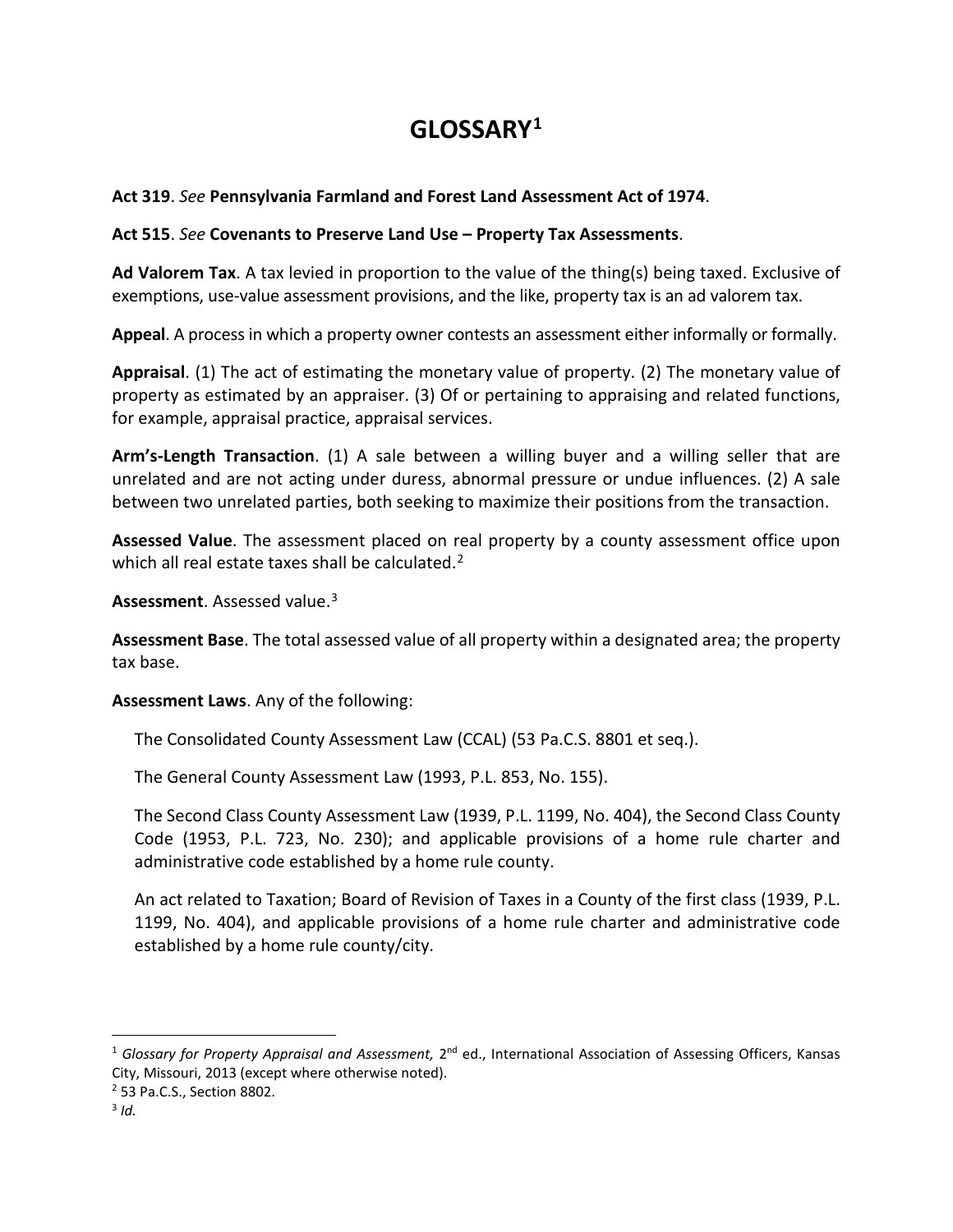# **GLOSSARY[1](#page-0-0)**

## **Act 319**. *See* **Pennsylvania Farmland and Forest Land Assessment Act of 1974**.

### **Act 515**. *See* **Covenants to Preserve Land Use – Property Tax Assessments**.

**Ad Valorem Tax**. A tax levied in proportion to the value of the thing(s) being taxed. Exclusive of exemptions, use-value assessment provisions, and the like, property tax is an ad valorem tax.

**Appeal**. A process in which a property owner contests an assessment either informally or formally.

**Appraisal**. (1) The act of estimating the monetary value of property. (2) The monetary value of property as estimated by an appraiser. (3) Of or pertaining to appraising and related functions, for example, appraisal practice, appraisal services.

**Arm's-Length Transaction**. (1) A sale between a willing buyer and a willing seller that are unrelated and are not acting under duress, abnormal pressure or undue influences. (2) A sale between two unrelated parties, both seeking to maximize their positions from the transaction.

**Assessed Value**. The assessment placed on real property by a county assessment office upon which all real estate taxes shall be calculated.<sup>[2](#page-0-1)</sup>

**Assessment**. Assessed value.[3](#page-0-2)

**Assessment Base**. The total assessed value of all property within a designated area; the property tax base.

**Assessment Laws**. Any of the following:

The Consolidated County Assessment Law (CCAL) (53 Pa.C.S. 8801 et seq.).

The General County Assessment Law (1993, P.L. 853, No. 155).

The Second Class County Assessment Law (1939, P.L. 1199, No. 404), the Second Class County Code (1953, P.L. 723, No. 230); and applicable provisions of a home rule charter and administrative code established by a home rule county.

An act related to Taxation; Board of Revision of Taxes in a County of the first class (1939, P.L. 1199, No. 404), and applicable provisions of a home rule charter and administrative code established by a home rule county/city.

 $\overline{a}$ 

<span id="page-0-0"></span><sup>&</sup>lt;sup>1</sup> Glossary for Property Appraisal and Assessment, 2<sup>nd</sup> ed., International Association of Assessing Officers, Kansas City, Missouri, 2013 (except where otherwise noted).

<span id="page-0-1"></span><sup>2</sup> 53 Pa.C.S., Section 8802.

<span id="page-0-2"></span><sup>3</sup> *Id.*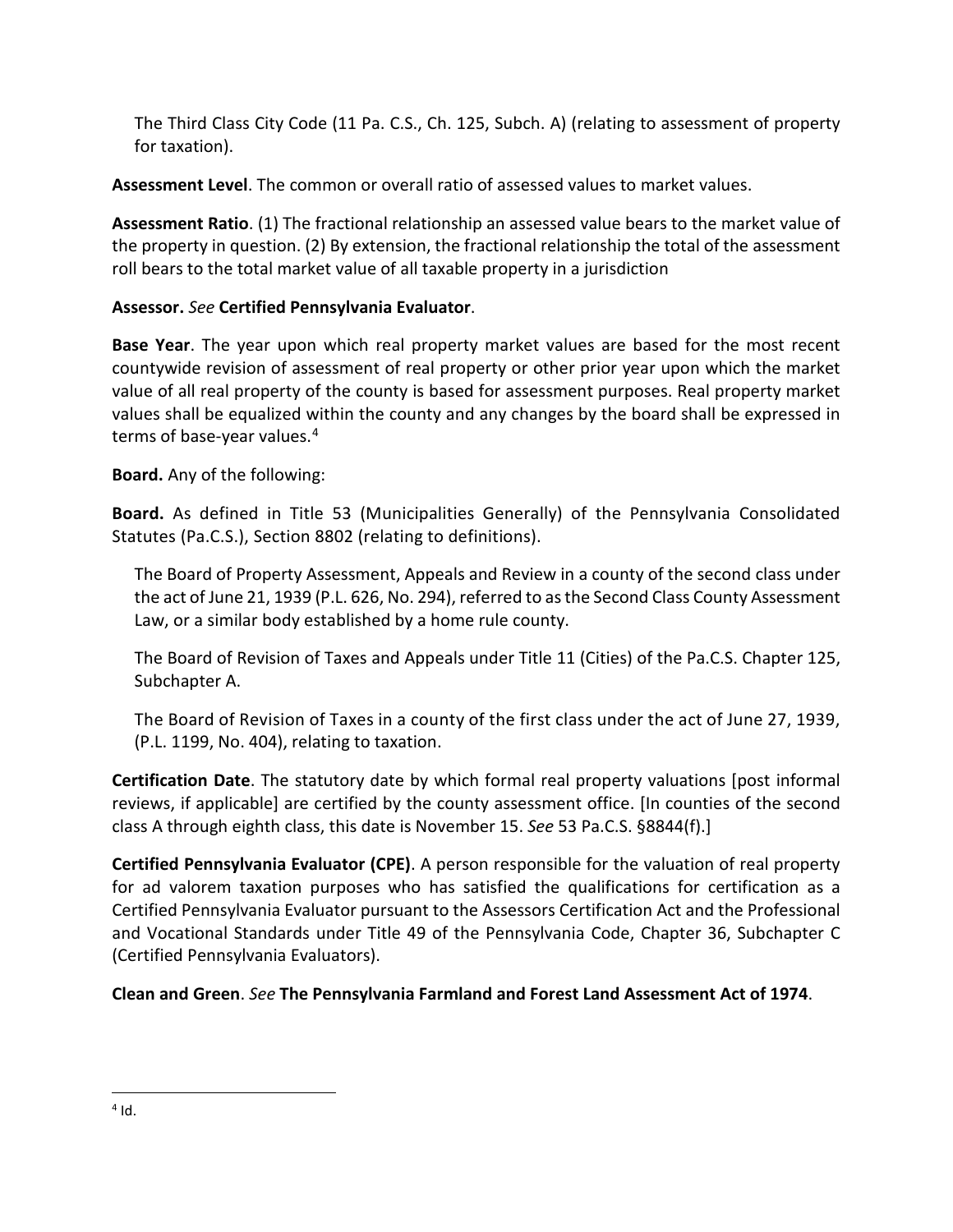The Third Class City Code (11 Pa. C.S., Ch. 125, Subch. A) (relating to assessment of property for taxation).

**Assessment Level**. The common or overall ratio of assessed values to market values.

**Assessment Ratio**. (1) The fractional relationship an assessed value bears to the market value of the property in question. (2) By extension, the fractional relationship the total of the assessment roll bears to the total market value of all taxable property in a jurisdiction

# **Assessor.** *See* **Certified Pennsylvania Evaluator**.

**Base Year**. The year upon which real property market values are based for the most recent countywide revision of assessment of real property or other prior year upon which the market value of all real property of the county is based for assessment purposes. Real property market values shall be equalized within the county and any changes by the board shall be expressed in terms of base-year values.<sup>[4](#page-1-0)</sup>

**Board.** Any of the following:

**Board.** As defined in Title 53 (Municipalities Generally) of the Pennsylvania Consolidated Statutes (Pa.C.S.), Section 8802 (relating to definitions).

The Board of Property Assessment, Appeals and Review in a county of the second class under the act of June 21, 1939 (P.L. 626, No. 294), referred to as the Second Class County Assessment Law, or a similar body established by a home rule county.

The Board of Revision of Taxes and Appeals under Title 11 (Cities) of the Pa.C.S. Chapter 125, Subchapter A.

The Board of Revision of Taxes in a county of the first class under the act of June 27, 1939, (P.L. 1199, No. 404), relating to taxation.

**Certification Date**. The statutory date by which formal real property valuations [post informal reviews, if applicable] are certified by the county assessment office. [In counties of the second class A through eighth class, this date is November 15. *See* 53 Pa.C.S. §8844(f).]

**Certified Pennsylvania Evaluator (CPE)**. A person responsible for the valuation of real property for ad valorem taxation purposes who has satisfied the qualifications for certification as a Certified Pennsylvania Evaluator pursuant to the Assessors Certification Act and the Professional and Vocational Standards under Title 49 of the Pennsylvania Code, Chapter 36, Subchapter C (Certified Pennsylvania Evaluators).

**Clean and Green**. *See* **The Pennsylvania Farmland and Forest Land Assessment Act of 1974**.

<span id="page-1-0"></span> $\overline{a}$  $4$  Id.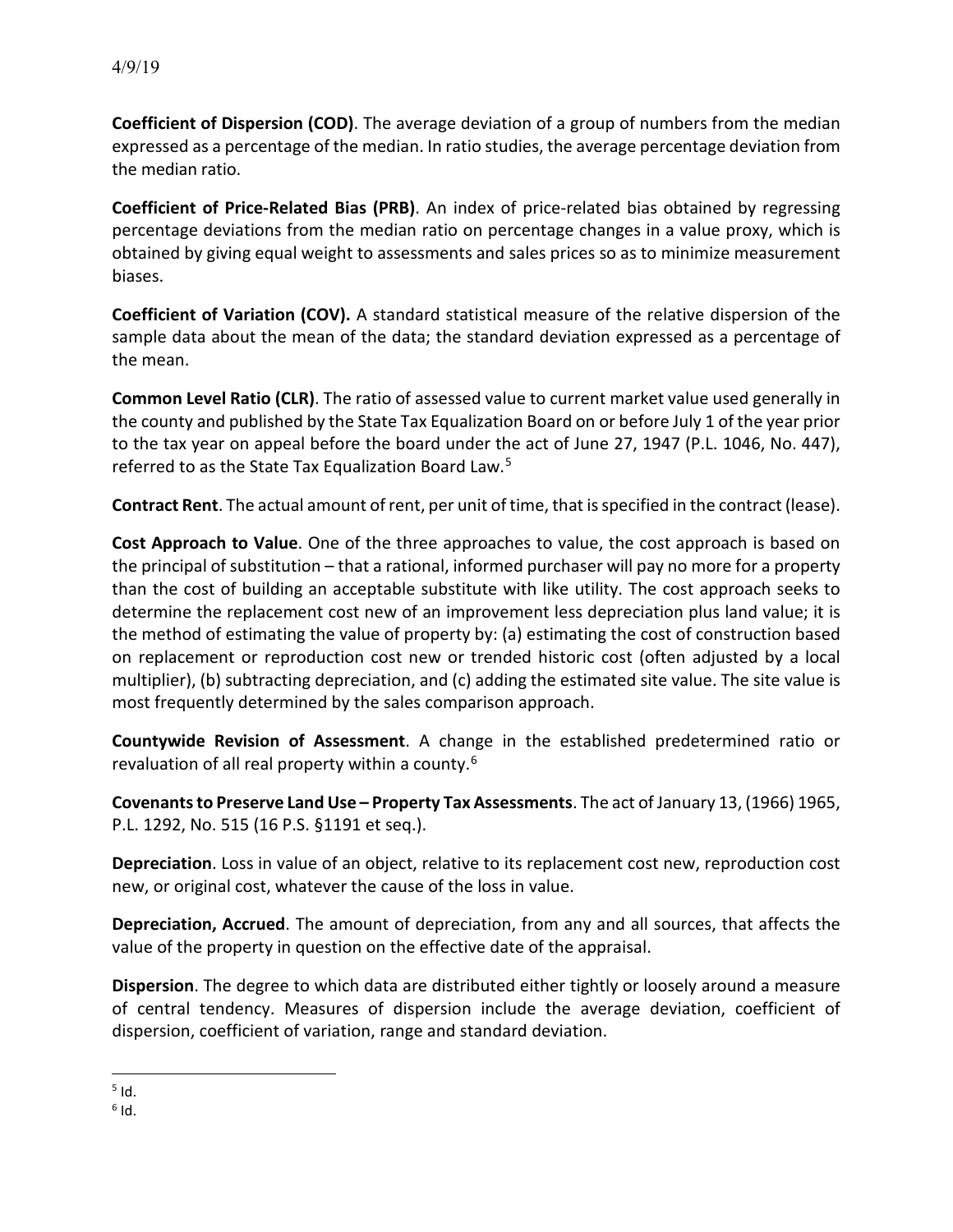**Coefficient of Dispersion (COD)**. The average deviation of a group of numbers from the median expressed as a percentage of the median. In ratio studies, the average percentage deviation from the median ratio.

**Coefficient of Price-Related Bias (PRB)**. An index of price-related bias obtained by regressing percentage deviations from the median ratio on percentage changes in a value proxy, which is obtained by giving equal weight to assessments and sales prices so as to minimize measurement biases.

**Coefficient of Variation (COV).** A standard statistical measure of the relative dispersion of the sample data about the mean of the data; the standard deviation expressed as a percentage of the mean.

**Common Level Ratio (CLR)**. The ratio of assessed value to current market value used generally in the county and published by the State Tax Equalization Board on or before July 1 of the year prior to the tax year on appeal before the board under the act of June 27, 1947 (P.L. 1046, No. 447), referred to as the State Tax Equalization Board Law.[5](#page-2-0)

**Contract Rent**. The actual amount of rent, per unit of time, that is specified in the contract (lease).

**Cost Approach to Value**. One of the three approaches to value, the cost approach is based on the principal of substitution – that a rational, informed purchaser will pay no more for a property than the cost of building an acceptable substitute with like utility. The cost approach seeks to determine the replacement cost new of an improvement less depreciation plus land value; it is the method of estimating the value of property by: (a) estimating the cost of construction based on replacement or reproduction cost new or trended historic cost (often adjusted by a local multiplier), (b) subtracting depreciation, and (c) adding the estimated site value. The site value is most frequently determined by the sales comparison approach.

**Countywide Revision of Assessment**. A change in the established predetermined ratio or revaluation of all real property within a county.<sup>[6](#page-2-1)</sup>

**Covenants to Preserve Land Use – Property Tax Assessments**. The act of January 13, (1966) 1965, P.L. 1292, No. 515 (16 P.S. §1191 et seq.).

**Depreciation**. Loss in value of an object, relative to its replacement cost new, reproduction cost new, or original cost, whatever the cause of the loss in value.

**Depreciation, Accrued**. The amount of depreciation, from any and all sources, that affects the value of the property in question on the effective date of the appraisal.

**Dispersion**. The degree to which data are distributed either tightly or loosely around a measure of central tendency. Measures of dispersion include the average deviation, coefficient of dispersion, coefficient of variation, range and standard deviation.

<span id="page-2-0"></span> $\overline{a}$  $<sup>5</sup>$  Id.</sup>

<span id="page-2-1"></span> $6$  Id.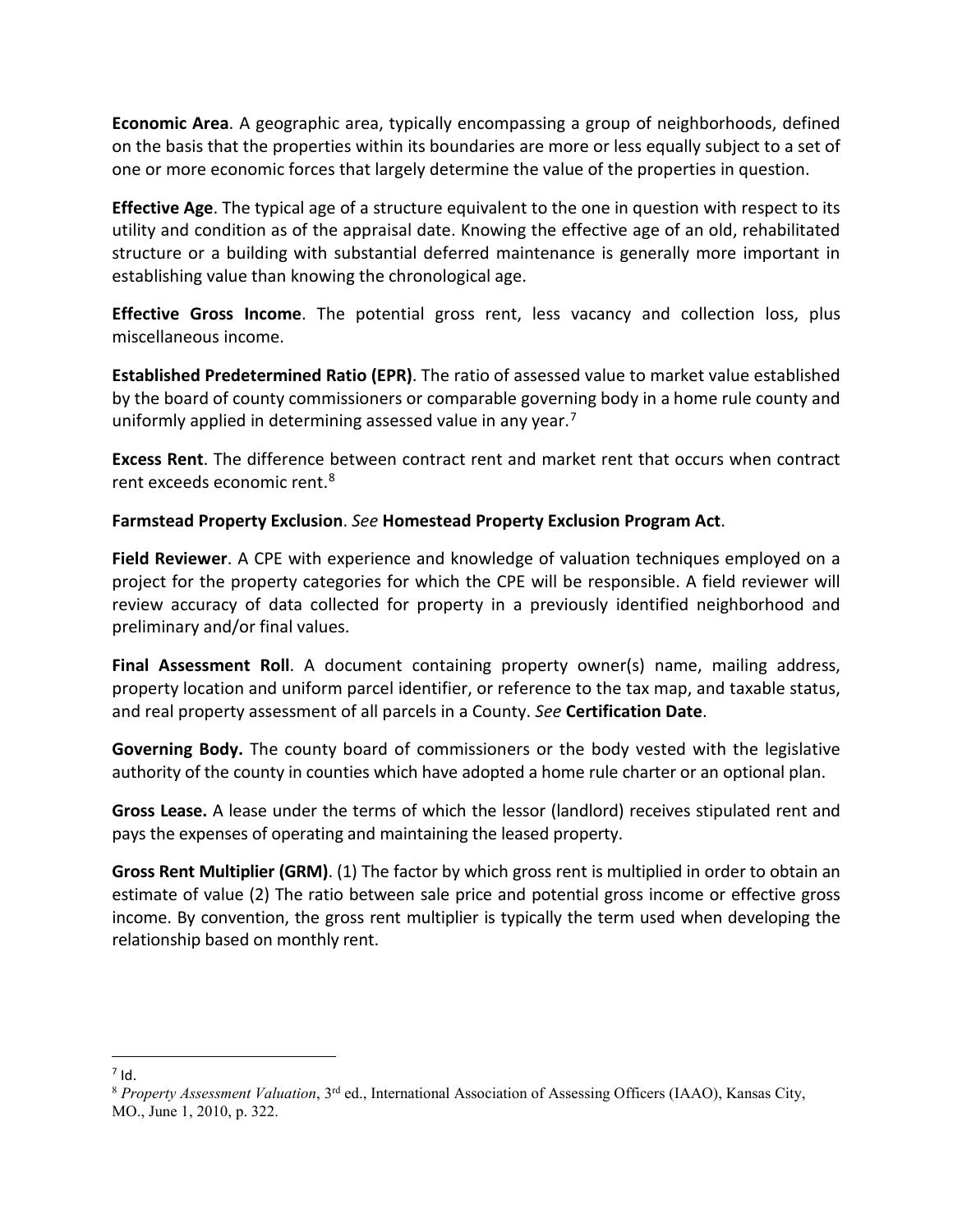**Economic Area**. A geographic area, typically encompassing a group of neighborhoods, defined on the basis that the properties within its boundaries are more or less equally subject to a set of one or more economic forces that largely determine the value of the properties in question.

**Effective Age**. The typical age of a structure equivalent to the one in question with respect to its utility and condition as of the appraisal date. Knowing the effective age of an old, rehabilitated structure or a building with substantial deferred maintenance is generally more important in establishing value than knowing the chronological age.

**Effective Gross Income**. The potential gross rent, less vacancy and collection loss, plus miscellaneous income.

**Established Predetermined Ratio (EPR)**. The ratio of assessed value to market value established by the board of county commissioners or comparable governing body in a home rule county and uniformly applied in determining assessed value in any year.<sup>[7](#page-3-0)</sup>

**Excess Rent**. The difference between contract rent and market rent that occurs when contract rent exceeds economic rent.[8](#page-3-1)

#### **Farmstead Property Exclusion**. *See* **Homestead Property Exclusion Program Act**.

**Field Reviewer**. A CPE with experience and knowledge of valuation techniques employed on a project for the property categories for which the CPE will be responsible. A field reviewer will review accuracy of data collected for property in a previously identified neighborhood and preliminary and/or final values.

**Final Assessment Roll**. A document containing property owner(s) name, mailing address, property location and uniform parcel identifier, or reference to the tax map, and taxable status, and real property assessment of all parcels in a County. *See* **Certification Date**.

**Governing Body.** The county board of commissioners or the body vested with the legislative authority of the county in counties which have adopted a home rule charter or an optional plan.

**Gross Lease.** A lease under the terms of which the lessor (landlord) receives stipulated rent and pays the expenses of operating and maintaining the leased property.

**Gross Rent Multiplier (GRM)**. (1) The factor by which gross rent is multiplied in order to obtain an estimate of value (2) The ratio between sale price and potential gross income or effective gross income. By convention, the gross rent multiplier is typically the term used when developing the relationship based on monthly rent.

 $\overline{a}$  $7$  Id.

<span id="page-3-1"></span><span id="page-3-0"></span><sup>8</sup> *Property Assessment Valuation*, 3rd ed., International Association of Assessing Officers (IAAO), Kansas City, MO., June 1, 2010, p. 322.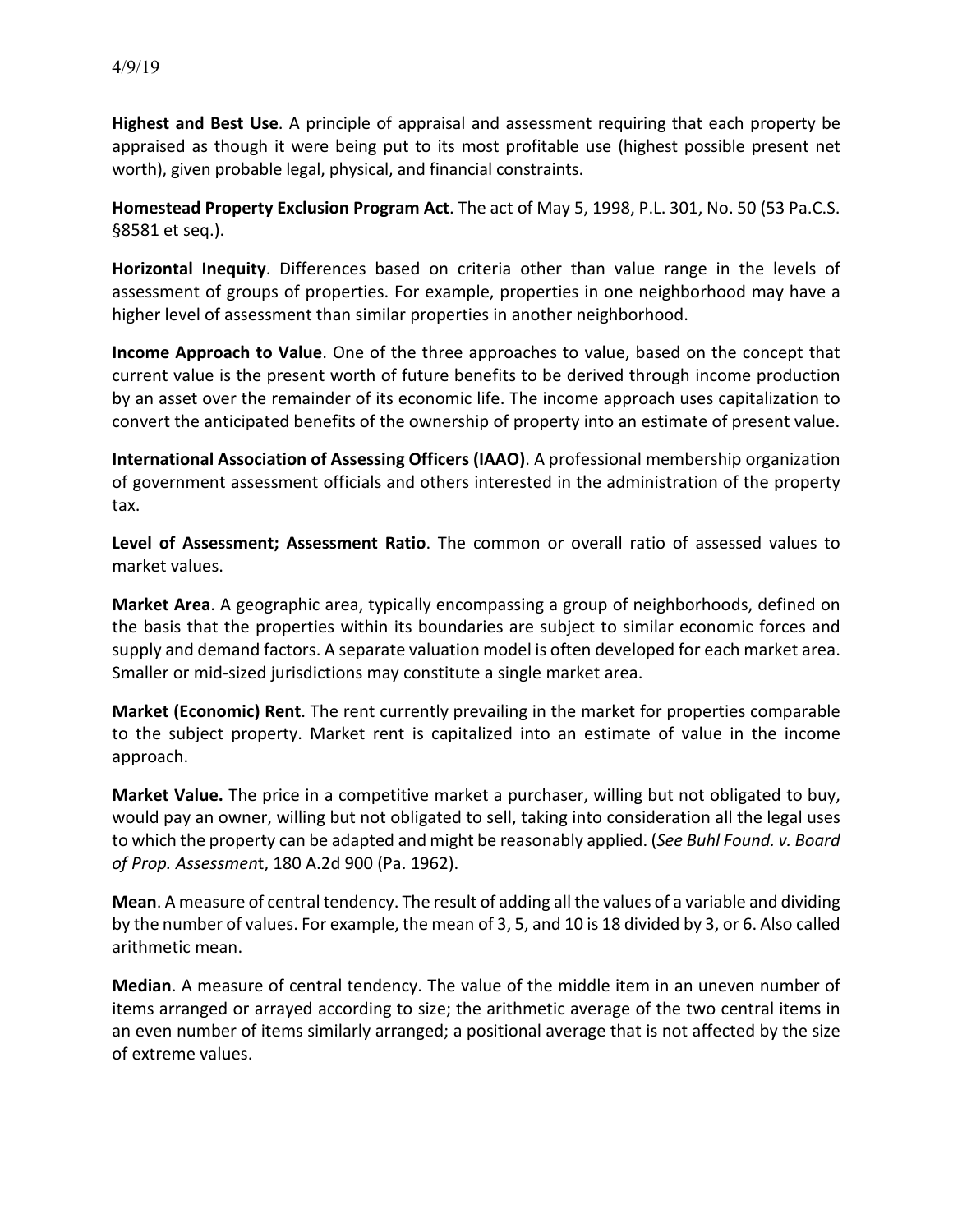**Highest and Best Use**. A principle of appraisal and assessment requiring that each property be appraised as though it were being put to its most profitable use (highest possible present net worth), given probable legal, physical, and financial constraints.

**Homestead Property Exclusion Program Act**. The act of May 5, 1998, P.L. 301, No. 50 (53 Pa.C.S. §8581 et seq.).

**Horizontal Inequity**. Differences based on criteria other than value range in the levels of assessment of groups of properties. For example, properties in one neighborhood may have a higher level of assessment than similar properties in another neighborhood.

**Income Approach to Value**. One of the three approaches to value, based on the concept that current value is the present worth of future benefits to be derived through income production by an asset over the remainder of its economic life. The income approach uses capitalization to convert the anticipated benefits of the ownership of property into an estimate of present value.

**International Association of Assessing Officers (IAAO)**. A professional membership organization of government assessment officials and others interested in the administration of the property tax.

**Level of Assessment; Assessment Ratio**. The common or overall ratio of assessed values to market values.

**Market Area**. A geographic area, typically encompassing a group of neighborhoods, defined on the basis that the properties within its boundaries are subject to similar economic forces and supply and demand factors. A separate valuation model is often developed for each market area. Smaller or mid-sized jurisdictions may constitute a single market area.

**Market (Economic) Rent**. The rent currently prevailing in the market for properties comparable to the subject property. Market rent is capitalized into an estimate of value in the income approach.

**Market Value.** The price in a competitive market a purchaser, willing but not obligated to buy, would pay an owner, willing but not obligated to sell, taking into consideration all the legal uses to which the property can be adapted and might be reasonably applied. (*See Buhl Found. v. Board of Prop. Assessmen*t, 180 A.2d 900 (Pa. 1962).

**Mean**. A measure of central tendency. The result of adding all the values of a variable and dividing by the number of values. For example, the mean of 3, 5, and 10 is 18 divided by 3, or 6. Also called arithmetic mean.

**Median**. A measure of central tendency. The value of the middle item in an uneven number of items arranged or arrayed according to size; the arithmetic average of the two central items in an even number of items similarly arranged; a positional average that is not affected by the size of extreme values.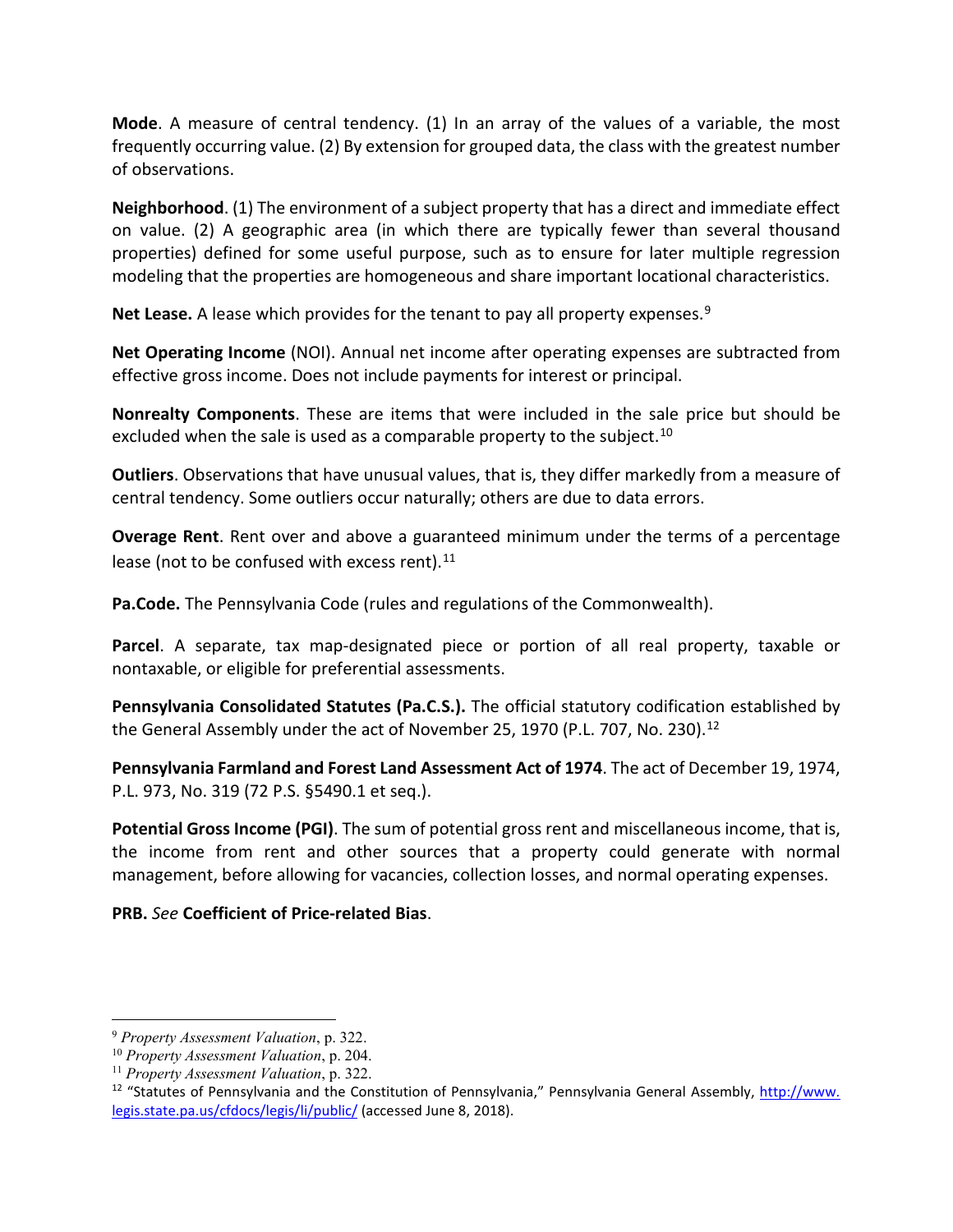**Mode**. A measure of central tendency. (1) In an array of the values of a variable, the most frequently occurring value. (2) By extension for grouped data, the class with the greatest number of observations.

**Neighborhood**. (1) The environment of a subject property that has a direct and immediate effect on value. (2) A geographic area (in which there are typically fewer than several thousand properties) defined for some useful purpose, such as to ensure for later multiple regression modeling that the properties are homogeneous and share important locational characteristics.

Net Lease. A lease which provides for the tenant to pay all property expenses.<sup>[9](#page-5-0)</sup>

**Net Operating Income** (NOI). Annual net income after operating expenses are subtracted from effective gross income. Does not include payments for interest or principal.

**Nonrealty Components**. These are items that were included in the sale price but should be excluded when the sale is used as a comparable property to the subject.<sup>[10](#page-5-1)</sup>

**Outliers**. Observations that have unusual values, that is, they differ markedly from a measure of central tendency. Some outliers occur naturally; others are due to data errors.

**Overage Rent**. Rent over and above a guaranteed minimum under the terms of a percentage lease (not to be confused with excess rent). $^{11}$  $^{11}$  $^{11}$ 

**Pa.Code.** The Pennsylvania Code (rules and regulations of the Commonwealth).

**Parcel**. A separate, tax map-designated piece or portion of all real property, taxable or nontaxable, or eligible for preferential assessments.

**Pennsylvania Consolidated Statutes (Pa.C.S.).** The official statutory codification established by the General Assembly under the act of November 25, 1970 (P.L. 707, No. 230).<sup>[12](#page-5-3)</sup>

**Pennsylvania Farmland and Forest Land Assessment Act of 1974**. The act of December 19, 1974, P.L. 973, No. 319 (72 P.S. §5490.1 et seq.).

**Potential Gross Income (PGI)**. The sum of potential gross rent and miscellaneous income, that is, the income from rent and other sources that a property could generate with normal management, before allowing for vacancies, collection losses, and normal operating expenses.

## **PRB.** *See* **Coefficient of Price-related Bias**.

<span id="page-5-0"></span> <sup>9</sup> *Property Assessment Valuation*, p. 322.

<span id="page-5-1"></span><sup>10</sup> *Property Assessment Valuation*, p. 204.

<span id="page-5-2"></span><sup>11</sup> *Property Assessment Valuation*, p. 322.

<span id="page-5-3"></span><sup>&</sup>lt;sup>12</sup> "Statutes of Pennsylvania and the Constitution of Pennsylvania," Pennsylvania General Assembly, http://www. legis.state.pa.us/cfdocs/legis/li/public/ (accessed June 8, 2018).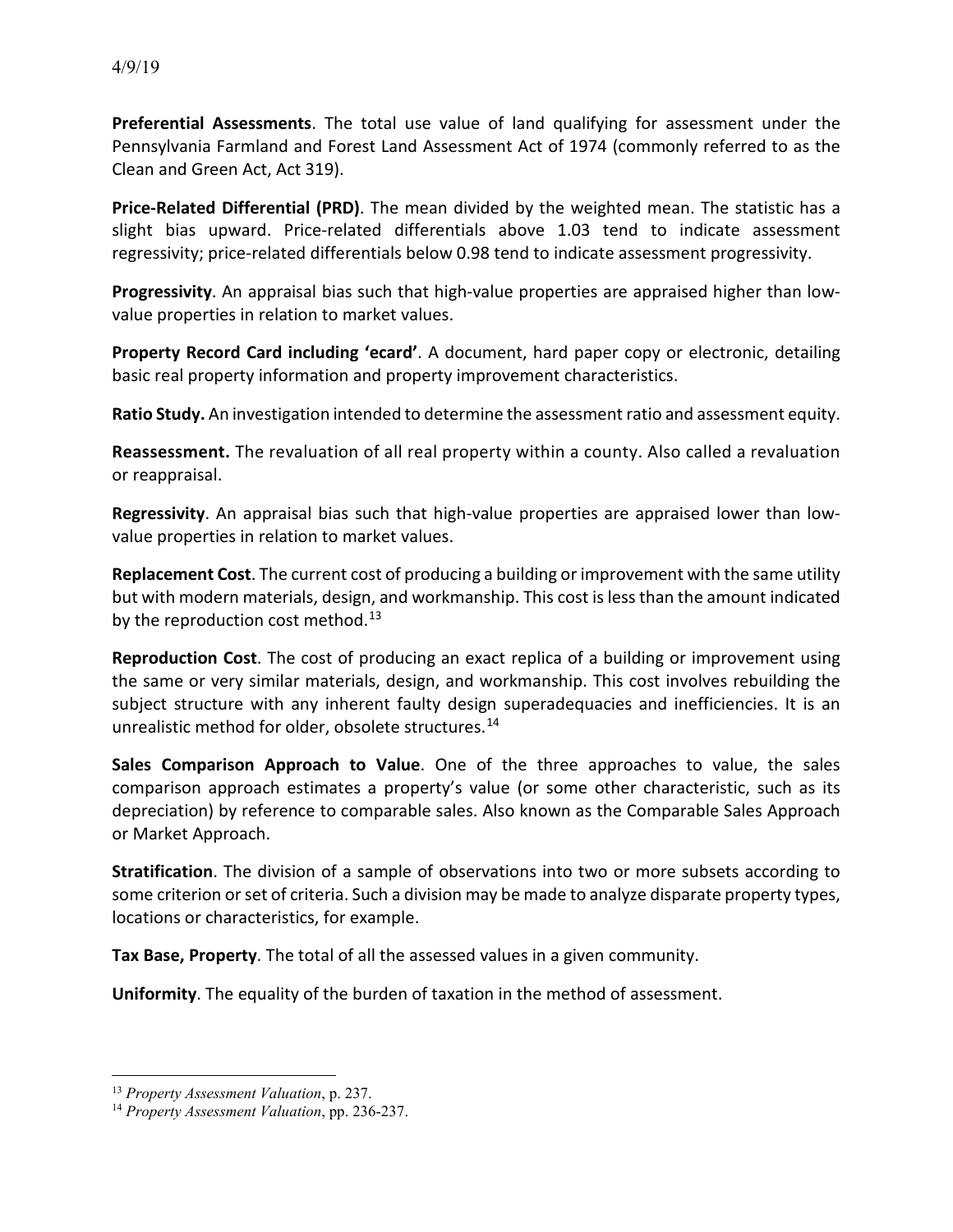**Preferential Assessments**. The total use value of land qualifying for assessment under the Pennsylvania Farmland and Forest Land Assessment Act of 1974 (commonly referred to as the Clean and Green Act, Act 319).

**Price-Related Differential (PRD)**. The mean divided by the weighted mean. The statistic has a slight bias upward. Price-related differentials above 1.03 tend to indicate assessment regressivity; price-related differentials below 0.98 tend to indicate assessment progressivity.

**Progressivity**. An appraisal bias such that high-value properties are appraised higher than lowvalue properties in relation to market values.

**Property Record Card including 'ecard'**. A document, hard paper copy or electronic, detailing basic real property information and property improvement characteristics.

**Ratio Study.** An investigation intended to determine the assessment ratio and assessment equity.

**Reassessment.** The revaluation of all real property within a county. Also called a revaluation or reappraisal.

**Regressivity**. An appraisal bias such that high-value properties are appraised lower than lowvalue properties in relation to market values.

**Replacement Cost**. The current cost of producing a building or improvement with the same utility but with modern materials, design, and workmanship. This cost is less than the amount indicated by the reproduction cost method. $13$ 

**Reproduction Cost**. The cost of producing an exact replica of a building or improvement using the same or very similar materials, design, and workmanship. This cost involves rebuilding the subject structure with any inherent faulty design superadequacies and inefficiencies. It is an unrealistic method for older, obsolete structures.<sup>[14](#page-6-1)</sup>

**Sales Comparison Approach to Value**. One of the three approaches to value, the sales comparison approach estimates a property's value (or some other characteristic, such as its depreciation) by reference to comparable sales. Also known as the Comparable Sales Approach or Market Approach.

**Stratification**. The division of a sample of observations into two or more subsets according to some criterion or set of criteria. Such a division may be made to analyze disparate property types, locations or characteristics, for example.

**Tax Base, Property**. The total of all the assessed values in a given community.

**Uniformity**. The equality of the burden of taxation in the method of assessment.

<span id="page-6-0"></span> <sup>13</sup> *Property Assessment Valuation*, p. 237.

<span id="page-6-1"></span><sup>14</sup> *Property Assessment Valuation*, pp. 236-237.